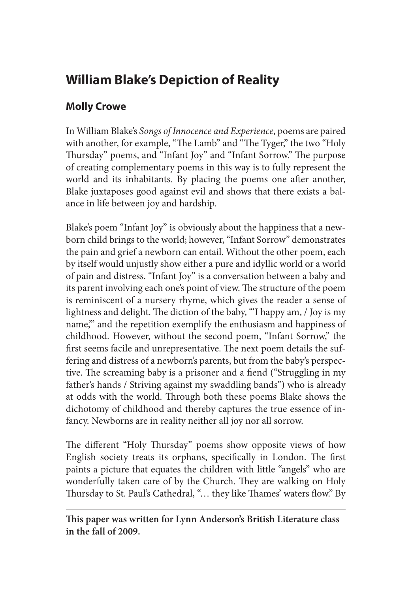## **William Blake's Depiction of Reality**

## **Molly Crowe**

In William Blake's *Songs of Innocence and Experience*, poems are paired with another, for example, "The Lamb" and "The Tyger," the two "Holy Thursday" poems, and "Infant Joy" and "Infant Sorrow." The purpose of creating complementary poems in this way is to fully represent the world and its inhabitants. By placing the poems one after another, Blake juxtaposes good against evil and shows that there exists a balance in life between joy and hardship.

Blake's poem "Infant Joy" is obviously about the happiness that a newborn child brings to the world; however, "Infant Sorrow" demonstrates the pain and grief a newborn can entail. Without the other poem, each by itself would unjustly show either a pure and idyllic world or a world of pain and distress. "Infant Joy" is a conversation between a baby and its parent involving each one's point of view. The structure of the poem is reminiscent of a nursery rhyme, which gives the reader a sense of lightness and delight. The diction of the baby, "'I happy am, / Joy is my name,'" and the repetition exemplify the enthusiasm and happiness of childhood. However, without the second poem, "Infant Sorrow," the first seems facile and unrepresentative. The next poem details the suffering and distress of a newborn's parents, but from the baby's perspective. The screaming baby is a prisoner and a fiend ("Struggling in my father's hands / Striving against my swaddling bands") who is already at odds with the world. Through both these poems Blake shows the dichotomy of childhood and thereby captures the true essence of infancy. Newborns are in reality neither all joy nor all sorrow.

The different "Holy Thursday" poems show opposite views of how English society treats its orphans, specifically in London. The first paints a picture that equates the children with little "angels" who are wonderfully taken care of by the Church. They are walking on Holy Thursday to St. Paul's Cathedral, "… they like Thames' waters flow." By

**This paper was written for Lynn Anderson's British Literature class in the fall of 2009.**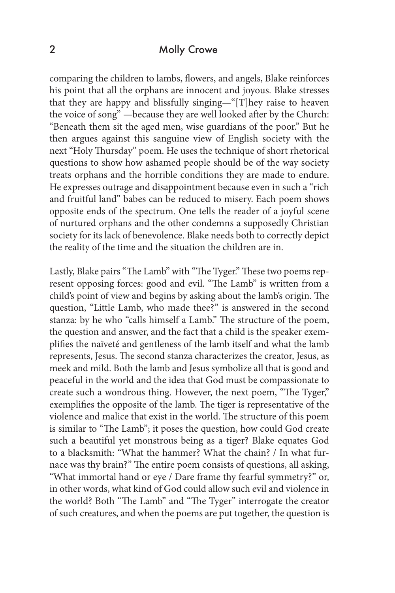## 2 Molly Crowe

comparing the children to lambs, flowers, and angels, Blake reinforces his point that all the orphans are innocent and joyous. Blake stresses that they are happy and blissfully singing—"[T]hey raise to heaven the voice of song" —because they are well looked after by the Church: "Beneath them sit the aged men, wise guardians of the poor." But he then argues against this sanguine view of English society with the next "Holy Thursday" poem. He uses the technique of short rhetorical questions to show how ashamed people should be of the way society treats orphans and the horrible conditions they are made to endure. He expresses outrage and disappointment because even in such a "rich and fruitful land" babes can be reduced to misery. Each poem shows opposite ends of the spectrum. One tells the reader of a joyful scene of nurtured orphans and the other condemns a supposedly Christian society for its lack of benevolence. Blake needs both to correctly depict the reality of the time and the situation the children are in.

Lastly, Blake pairs "The Lamb" with "The Tyger." These two poems represent opposing forces: good and evil. "The Lamb" is written from a child's point of view and begins by asking about the lamb's origin. The question, "Little Lamb, who made thee?" is answered in the second stanza: by he who "calls himself a Lamb." The structure of the poem, the question and answer, and the fact that a child is the speaker exemplifies the naïveté and gentleness of the lamb itself and what the lamb represents, Jesus. The second stanza characterizes the creator, Jesus, as meek and mild. Both the lamb and Jesus symbolize all that is good and peaceful in the world and the idea that God must be compassionate to create such a wondrous thing. However, the next poem, "The Tyger," exemplifies the opposite of the lamb. The tiger is representative of the violence and malice that exist in the world. The structure of this poem is similar to "The Lamb"; it poses the question, how could God create such a beautiful yet monstrous being as a tiger? Blake equates God to a blacksmith: "What the hammer? What the chain? / In what furnace was thy brain?" The entire poem consists of questions, all asking, "What immortal hand or eye / Dare frame thy fearful symmetry?" or, in other words, what kind of God could allow such evil and violence in the world? Both "The Lamb" and "The Tyger" interrogate the creator of such creatures, and when the poems are put together, the question is